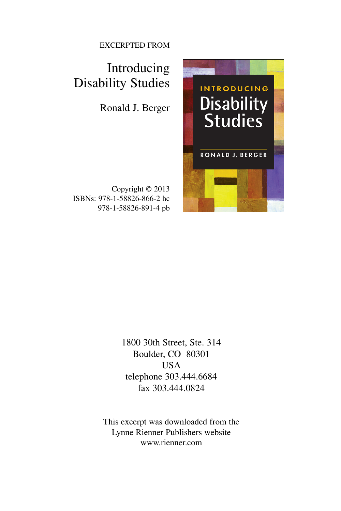EXCERPTED FROM

# Introducing Disability Studies

Ronald J. Berger

**INTRODUCING** 

**Disability**<br>**Studies** 

**RONALD J. BERGER** 



1800 30th Street, Ste. 314 Boulder, CO 80301 USA telephone 303.444.6684 fax 303.444.0824

This excerpt was downloaded from the Lynne Rienner Publishers website www.rienner.com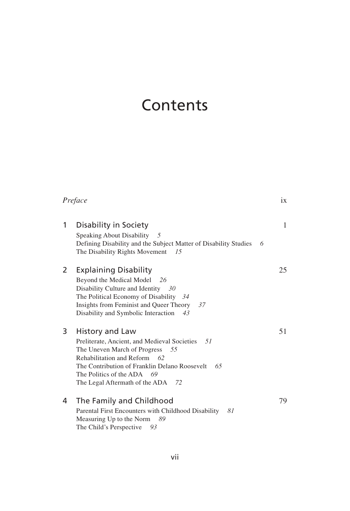# **Contents**

|   | Preface                                                                                                                                                                                                                                                                |   | ix |
|---|------------------------------------------------------------------------------------------------------------------------------------------------------------------------------------------------------------------------------------------------------------------------|---|----|
| 1 | Disability in Society<br>Speaking About Disability<br>- 5<br>Defining Disability and the Subject Matter of Disability Studies<br>The Disability Rights Movement<br>15                                                                                                  | 6 | 1  |
| 2 | <b>Explaining Disability</b><br>Beyond the Medical Model<br>- 26<br>Disability Culture and Identity 30<br>The Political Economy of Disability 34<br>Insights from Feminist and Queer Theory 37<br>Disability and Symbolic Interaction<br>43                            |   | 25 |
| 3 | History and Law<br>Preliterate, Ancient, and Medieval Societies<br>.51<br>The Uneven March of Progress<br>55<br>Rehabilitation and Reform 62<br>The Contribution of Franklin Delano Roosevelt<br>65<br>The Politics of the ADA 69<br>The Legal Aftermath of the ADA 72 |   | 51 |
| 4 | The Family and Childhood<br>Parental First Encounters with Childhood Disability<br>81<br>Measuring Up to the Norm<br>89<br>The Child's Perspective<br>93                                                                                                               |   | 79 |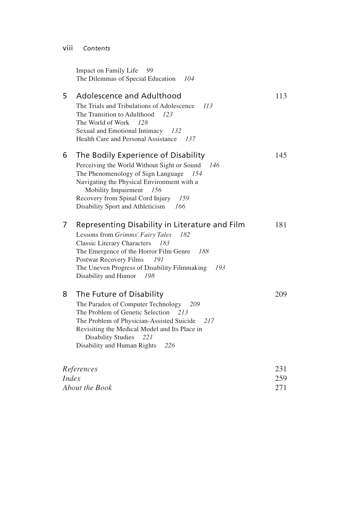| VIII | Contents |
|------|----------|

|   | Impact on Family Life<br>99<br>The Dilemmas of Special Education<br>104                                                                                                                                                                                                                                     |     |
|---|-------------------------------------------------------------------------------------------------------------------------------------------------------------------------------------------------------------------------------------------------------------------------------------------------------------|-----|
| 5 | Adolescence and Adulthood<br>The Trials and Tribulations of Adolescence<br>11.3<br>The Transition to Adulthood<br>123<br>The World of Work<br>128<br>Sexual and Emotional Intimacy 132<br>Health Care and Personal Assistance<br>137                                                                        | 113 |
| 6 | The Bodily Experience of Disability<br>Perceiving the World Without Sight or Sound<br>146<br>The Phenomenology of Sign Language<br>154<br>Navigating the Physical Environment with a<br>Mobility Impairment<br>156<br>Recovery from Spinal Cord Injury<br>159<br>Disability Sport and Athleticism<br>166    | 145 |
| 7 | Representing Disability in Literature and Film<br>Lessons from Grimms' Fairy Tales<br>182<br><b>Classic Literary Characters</b><br>183<br>The Emergence of the Horror Film Genre<br>188<br>Postwar Recovery Films<br>191<br>The Uneven Progress of Disability Filmmaking<br>193<br>Disability and Humor 198 | 181 |
| 8 | The Future of Disability<br>The Paradox of Computer Technology<br>209<br>The Problem of Genetic Selection<br>213<br>The Problem of Physician-Assisted Suicide<br>217<br>Revisiting the Medical Model and Its Place in<br><b>Disability Studies</b><br>221<br>Disability and Human Rights<br>226             | 209 |
|   | References                                                                                                                                                                                                                                                                                                  | 231 |

| <i>Index</i>   | 259 |
|----------------|-----|
| About the Book | 271 |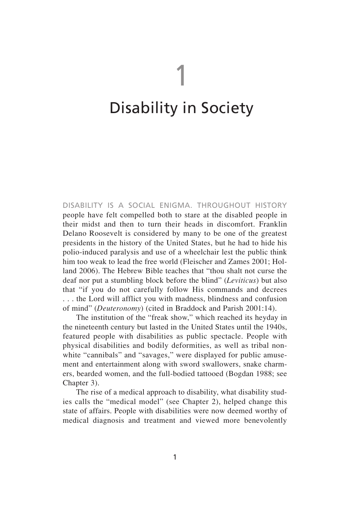# Disability in Society

DISABILITY IS A SOCIAL ENIGMA. THROUGHOUT HISTORY people have felt compelled both to stare at the disabled people in their midst and then to turn their heads in discomfort. Franklin Delano Roosevelt is considered by many to be one of the greatest presidents in the history of the United States, but he had to hide his polio-induced paralysis and use of a wheelchair lest the public think him too weak to lead the free world (Fleischer and Zames 2001; Holland 2006). The Hebrew Bible teaches that "thou shalt not curse the deaf nor put a stumbling block before the blind" (*Leviticus*) but also that "if you do not carefully follow His commands and decrees . . . the Lord will afflict you with madness, blindness and confusion of mind" (*Deuteronomy*) (cited in Braddock and Parish 2001:14).

The institution of the "freak show," which reached its heyday in the nineteenth century but lasted in the United States until the 1940s, featured people with disabilities as public spectacle. People with physical disabilities and bodily deformities, as well as tribal nonwhite "cannibals" and "savages," were displayed for public amusement and entertainment along with sword swallowers, snake charmers, bearded women, and the full-bodied tattooed (Bogdan 1988; see Chapter 3).

The rise of a medical approach to disability, what disability studies calls the "medical model" (see Chapter 2), helped change this state of affairs. People with disabilities were now deemed worthy of medical diagnosis and treatment and viewed more benevolently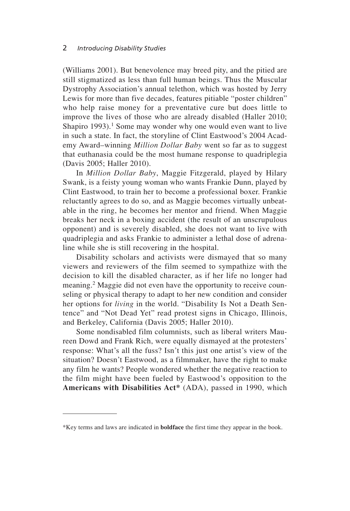(Williams 2001). But benevolence may breed pity, and the pitied are still stigmatized as less than full human beings. Thus the Muscular Dystrophy Association's annual telethon, which was hosted by Jerry Lewis for more than five decades, features pitiable "poster children" who help raise money for a preventative cure but does little to improve the lives of those who are already disabled (Haller 2010; Shapiro 1993). <sup>1</sup> Some may wonder why one would even want to live in such a state. In fact, the storyline of Clint Eastwood's 2004 Academy Award–winning *Million Dollar Baby* went so far as to suggest that euthanasia could be the most humane response to quadriplegia (Davis 2005; Haller 2010).

In *Million Dollar Baby*, Maggie Fitzgerald, played by Hilary Swank, is a feisty young woman who wants Frankie Dunn, played by Clint Eastwood, to train her to become a professional boxer. Frankie reluctantly agrees to do so, and as Maggie becomes virtually unbeatable in the ring, he becomes her mentor and friend. When Maggie breaks her neck in a boxing accident (the result of an unscrupulous opponent) and is severely disabled, she does not want to live with quadriplegia and asks Frankie to administer a lethal dose of adrenaline while she is still recovering in the hospital.

Disability scholars and activists were dismayed that so many viewers and reviewers of the film seemed to sympathize with the decision to kill the disabled character, as if her life no longer had meaning.<sup>2</sup> Maggie did not even have the opportunity to receive counseling or physical therapy to adapt to her new condition and consider her options for *living* in the world. "Disability Is Not a Death Sentence" and "Not Dead Yet" read protest signs in Chicago, Illinois, and Berkeley, California (Davis 2005; Haller 2010).

Some nondisabled film columnists, such as liberal writers Maureen Dowd and Frank Rich, were equally dismayed at the protesters' response: What's all the fuss? Isn't this just one artist's view of the situation? Doesn't Eastwood, as a filmmaker, have the right to make any film he wants? People wondered whether the negative reaction to the film might have been fueled by Eastwood's opposition to the **Americans with Disabilities Act\*** (ADA), passed in 1990, which

<sup>\*</sup>Key terms and laws are indicated in **boldface** the first time they appear in the book.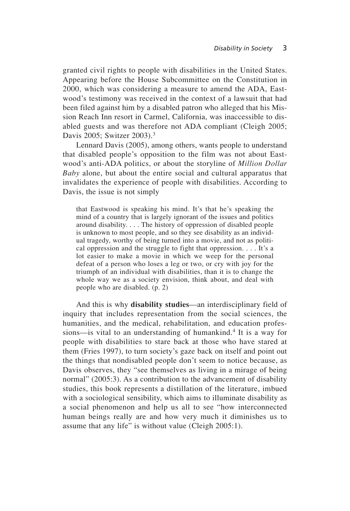granted civil rights to people with disabilities in the United States. Appearing before the House Subcommittee on the Constitution in 2000, which was considering a measure to amend the ADA, Eastwood's testimony was received in the context of a lawsuit that had been filed against him by a disabled patron who alleged that his Mission Reach Inn resort in Carmel, California, was inaccessible to disabled guests and was therefore not ADA compliant (Cleigh 2005; Davis 2005; Switzer 2003). 3

Lennard Davis (2005), among others, wants people to understand that disabled people's opposition to the film was not about Eastwood's anti-ADA politics, or about the storyline of *Million Dollar Baby* alone, but about the entire social and cultural apparatus that invalidates the experience of people with disabilities. According to Davis, the issue is not simply

that Eastwood is speaking his mind. It's that he's speaking the mind of a country that is largely ignorant of the issues and politics around disability. . . . The history of oppression of disabled people is unknown to most people, and so they see disability as an individual tragedy, worthy of being turned into a movie, and not as political oppression and the struggle to fight that oppression. . . . It's a lot easier to make a movie in which we weep for the personal defeat of a person who loses a leg or two, or cry with joy for the triumph of an individual with disabilities, than it is to change the whole way we as a society envision, think about, and deal with people who are disabled. (p. 2)

And this is why **disability studies**—an interdisciplinary field of inquiry that includes representation from the social sciences, the humanities, and the medical, rehabilitation, and education professions—is vital to an understanding of humankind. <sup>4</sup> It is a way for people with disabilities to stare back at those who have stared at them (Fries 1997), to turn society's gaze back on itself and point out the things that nondisabled people don't seem to notice because, as Davis observes, they "see themselves as living in a mirage of being normal" (2005:3). As a contribution to the advancement of disability studies, this book represents a distillation of the literature, imbued with a sociological sensibility, which aims to illuminate disability as a social phenomenon and help us all to see "how interconnected human beings really are and how very much it diminishes us to assume that any life" is without value (Cleigh 2005:1).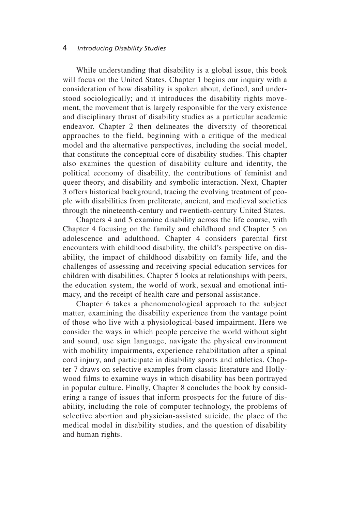While understanding that disability is a global issue, this book will focus on the United States. Chapter 1 begins our inquiry with a consideration of how disability is spoken about, defined, and understood sociologically; and it introduces the disability rights movement, the movement that is largely responsible for the very existence and disciplinary thrust of disability studies as a particular academic endeavor. Chapter 2 then delineates the diversity of theoretical approaches to the field, beginning with a critique of the medical model and the alternative perspectives, including the social model, that constitute the conceptual core of disability studies. This chapter also examines the question of disability culture and identity, the political economy of disability, the contributions of feminist and queer theory, and disability and symbolic interaction. Next, Chapter 3 offers historical background, tracing the evolving treatment of people with disabilities from preliterate, ancient, and medieval societies through the nineteenth-century and twentieth-century United States.

Chapters 4 and 5 examine disability across the life course, with Chapter 4 focusing on the family and childhood and Chapter 5 on adolescence and adulthood. Chapter 4 considers parental first encounters with childhood disability, the child's perspective on disability, the impact of childhood disability on family life, and the challenges of assessing and receiving special education services for children with disabilities. Chapter 5 looks at relationships with peers, the education system, the world of work, sexual and emotional intimacy, and the receipt of health care and personal assistance.

Chapter 6 takes a phenomenological approach to the subject matter, examining the disability experience from the vantage point of those who live with a physiological-based impairment. Here we consider the ways in which people perceive the world without sight and sound, use sign language, navigate the physical environment with mobility impairments, experience rehabilitation after a spinal cord injury, and participate in disability sports and athletics. Chapter 7 draws on selective examples from classic literature and Hollywood films to examine ways in which disability has been portrayed in popular culture. Finally, Chapter 8 concludes the book by considering a range of issues that inform prospects for the future of disability, including the role of computer technology, the problems of selective abortion and physician-assisted suicide, the place of the medical model in disability studies, and the question of disability and human rights.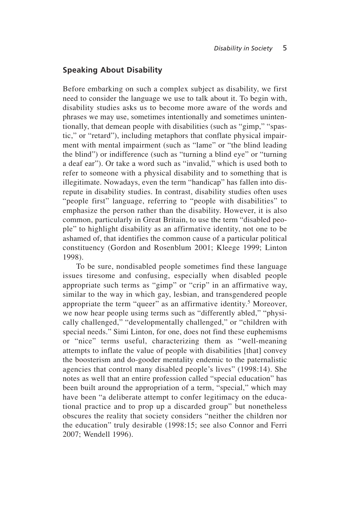## **Speaking About Disability**

Before embarking on such a complex subject as disability, we first need to consider the language we use to talk about it. To begin with, disability studies asks us to become more aware of the words and phrases we may use, sometimes intentionally and sometimes unintentionally, that demean people with disabilities (such as "gimp," "spastic," or "retard"), including metaphors that conflate physical impairment with mental impairment (such as "lame" or "the blind leading the blind") or indifference (such as "turning a blind eye" or "turning a deaf ear"). Or take a word such as "invalid," which is used both to refer to someone with a physical disability and to something that is illegitimate. Nowadays, even the term "handicap" has fallen into disrepute in disability studies. In contrast, disability studies often uses "people first" language, referring to "people with disabilities" to emphasize the person rather than the disability. However, it is also common, particularly in Great Britain, to use the term "disabled people" to highlight disability as an affirmative identity, not one to be ashamed of, that identifies the common cause of a particular political constituency (Gordon and Rosenblum 2001; Kleege 1999; Linton 1998).

To be sure, nondisabled people sometimes find these language issues tiresome and confusing, especially when disabled people appropriate such terms as "gimp" or "crip" in an affirmative way, similar to the way in which gay, lesbian, and transgendered people appropriate the term "queer" as an affirmative identity.<sup>5</sup> Moreover, we now hear people using terms such as "differently abled," "physically challenged," "developmentally challenged," or "children with special needs." Simi Linton, for one, does not find these euphemisms or "nice" terms useful, characterizing them as "well-meaning attempts to inflate the value of people with disabilities [that] convey the boosterism and do-gooder mentality endemic to the paternalistic agencies that control many disabled people's lives" (1998:14). She notes as well that an entire profession called "special education" has been built around the appropriation of a term, "special," which may have been "a deliberate attempt to confer legitimacy on the educational practice and to prop up a discarded group" but nonetheless obscures the reality that society considers "neither the children nor the education" truly desirable (1998:15; see also Connor and Ferri 2007; Wendell 1996).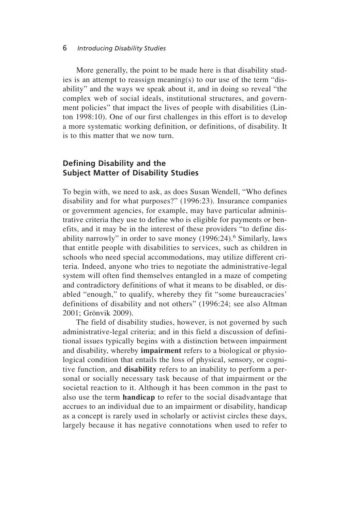More generally, the point to be made here is that disability studies is an attempt to reassign meaning(s) to our use of the term "disability" and the ways we speak about it, and in doing so reveal "the complex web of social ideals, institutional structures, and government policies" that impact the lives of people with disabilities (Linton 1998:10). One of our first challenges in this effort is to develop a more systematic working definition, or definitions, of disability. It is to this matter that we now turn.

# **Defining Disability and the Subject Matter of Disability Studies**

To begin with, we need to ask, as does Susan Wendell, "Who defines disability and for what purposes?" (1996:23). Insurance companies or government agencies, for example, may have particular administrative criteria they use to define who is eligible for payments or benefits, and it may be in the interest of these providers "to define disability narrowly" in order to save money (1996:24). <sup>6</sup> Similarly, laws that entitle people with disabilities to services, such as children in schools who need special accommodations, may utilize different criteria. Indeed, anyone who tries to negotiate the administrative-legal system will often find themselves entangled in a maze of competing and contradictory definitions of what it means to be disabled, or disabled "enough," to qualify, whereby they fit "some bureaucracies' definitions of disability and not others" (1996:24; see also Altman 2001; Grönvik 2009).

The field of disability studies, however, is not governed by such administrative-legal criteria; and in this field a discussion of definitional issues typically begins with a distinction between impairment and disability, whereby **impairment** refers to a biological or physiological condition that entails the loss of physical, sensory, or cognitive function, and **disability** refers to an inability to perform a personal or socially necessary task because of that impairment or the societal reaction to it. Although it has been common in the past to also use the term **handicap** to refer to the social disadvantage that accrues to an individual due to an impairment or disability, handicap as a concept is rarely used in scholarly or activist circles these days, largely because it has negative connotations when used to refer to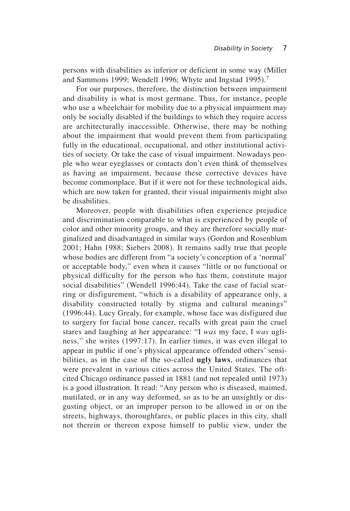persons with disabilities as inferior or deficient in some way (Miller and Sammons 1999: Wendell 1996: Whyte and Ingstad 1995).<sup>7</sup>

For our purposes, therefore, the distinction between impairment and disability is what is most germane. Thus, for instance, people who use a wheelchair for mobility due to a physical impairment may only be socially disabled if the buildings to which they require access are architecturally inaccessible. Otherwise, there may be nothing about the impairment that would prevent them from participating fully in the educational, occupational, and other institutional activities of society. Or take the case of visual impairment. Nowadays people who wear eyeglasses or contacts don't even think of themselves as having an impairment, because these corrective devices have become commonplace. But if it were not for these technological aids, which are now taken for granted, their visual impairments might also be disabilities.

Moreover, people with disabilities often experience prejudice and discrimination comparable to what is experienced by people of color and other minority groups, and they are therefore socially marginalized and disadvantaged in similar ways (Gordon and Rosenblum 2001; Hahn 1988; Siebers 2008). It remains sadly true that people whose bodies are different from "a society's conception of a 'normal' or acceptable body," even when it causes "little or no functional or physical difficulty for the person who has them, constitute major social disabilities" (Wendell 1996:44). Take the case of facial scarring or disfigurement, "which is a disability of appearance only, a disability constructed totally by stigma and cultural meanings" (1996:44). Lucy Grealy, for example, whose face was disfigured due to surgery for facial bone cancer, recalls with great pain the cruel stares and laughing at her appearance: "I *was* my face, I *was* ugliness," she writes (1997:17). In earlier times, it was even illegal to appear in public if one's physical appearance offended others' sensibilities, as in the case of the so-called **ugly laws**, ordinances that were prevalent in various cities across the United States. The oftcited Chicago ordinance passed in 1881 (and not repealed until 1973) is a good illustration. It read: "Any person who is diseased, maimed, mutilated, or in any way deformed, so as to be an unsightly or disgusting object, or an improper person to be allowed in or on the streets, highways, thoroughfares, or public places in this city, shall not therein or thereon expose himself to public view, under the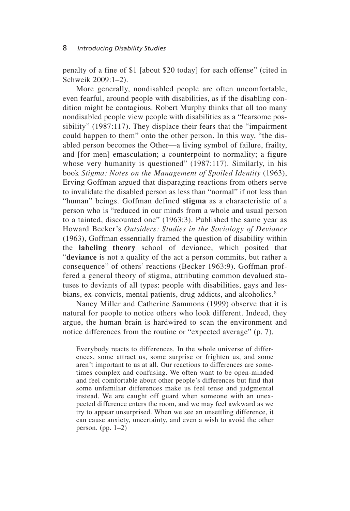penalty of a fine of \$1 [about \$20 today] for each offense" (cited in Schweik 2009:1–2).

More generally, nondisabled people are often uncomfortable, even fearful, around people with disabilities, as if the disabling condition might be contagious. Robert Murphy thinks that all too many nondisabled people view people with disabilities as a "fearsome possibility" (1987:117). They displace their fears that the "impairment could happen to them" onto the other person. In this way, "the disabled person becomes the Other—a living symbol of failure, frailty, and [for men] emasculation; a counterpoint to normality; a figure whose very humanity is questioned" (1987:117). Similarly, in his book *Stigma: Notes on the Management of Spoiled Identity* (1963), Erving Goffman argued that disparaging reactions from others serve to invalidate the disabled person as less than "normal" if not less than "human" beings. Goffman defined **stigma** as a characteristic of a person who is "reduced in our minds from a whole and usual person to a tainted, discounted one" (1963:3). Published the same year as Howard Becker's *Outsiders: Studies in the Sociology of Deviance* (1963), Goffman essentially framed the question of disability within the **labeling theory** school of deviance, which posited that "**deviance** is not a quality of the act a person commits, but rather a consequence" of others' reactions (Becker 1963:9). Goffman proffered a general theory of stigma, attributing common devalued statuses to deviants of all types: people with disabilities, gays and lesbians, ex-convicts, mental patients, drug addicts, and alcoholics.<sup>8</sup>

Nancy Miller and Catherine Sammons (1999) observe that it is natural for people to notice others who look different. Indeed, they argue, the human brain is hardwired to scan the environment and notice differences from the routine or "expected average" (p. 7).

Everybody reacts to differences. In the whole universe of differences, some attract us, some surprise or frighten us, and some aren't important to us at all. Our reactions to differences are sometimes complex and confusing. We often want to be open-minded and feel comfortable about other people's differences but find that some unfamiliar differences make us feel tense and judgmental instead. We are caught off guard when someone with an unexpected difference enters the room, and we may feel awkward as we try to appear unsurprised. When we see an unsettling difference, it can cause anxiety, uncertainty, and even a wish to avoid the other person. (pp.  $1-2$ )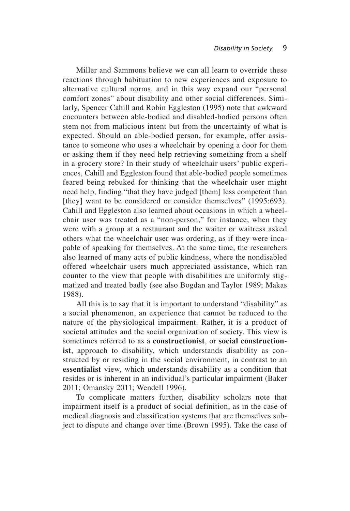Miller and Sammons believe we can all learn to override these reactions through habituation to new experiences and exposure to alternative cultural norms, and in this way expand our "personal comfort zones" about disability and other social differences. Similarly, Spencer Cahill and Robin Eggleston (1995) note that awkward encounters between able-bodied and disabled-bodied persons often stem not from malicious intent but from the uncertainty of what is expected. Should an able-bodied person, for example, offer assistance to someone who uses a wheelchair by opening a door for them or asking them if they need help retrieving something from a shelf in a grocery store? In their study of wheelchair users' public experiences, Cahill and Eggleston found that able-bodied people sometimes feared being rebuked for thinking that the wheelchair user might need help, finding "that they have judged [them] less competent than [they] want to be considered or consider themselves" (1995:693). Cahill and Eggleston also learned about occasions in which a wheelchair user was treated as a "non-person," for instance, when they were with a group at a restaurant and the waiter or waitress asked others what the wheelchair user was ordering, as if they were incapable of speaking for themselves. At the same time, the researchers also learned of many acts of public kindness, where the nondisabled offered wheelchair users much appreciated assistance, which ran counter to the view that people with disabilities are uniformly stigmatized and treated badly (see also Bogdan and Taylor 1989; Makas 1988).

All this is to say that it is important to understand "disability" as a social phenomenon, an experience that cannot be reduced to the nature of the physiological impairment. Rather, it is a product of societal attitudes and the social organization of society. This view is sometimes referred to as a **constructionist**, or **social constructionist**, approach to disability, which understands disability as constructed by or residing in the social environment, in contrast to an **essentialist** view, which understands disability as a condition that resides or is inherent in an individual's particular impairment (Baker 2011; Omansky 2011; Wendell 1996).

To complicate matters further, disability scholars note that impairment itself is a product of social definition, as in the case of medical diagnosis and classification systems that are themselves subject to dispute and change over time (Brown 1995). Take the case of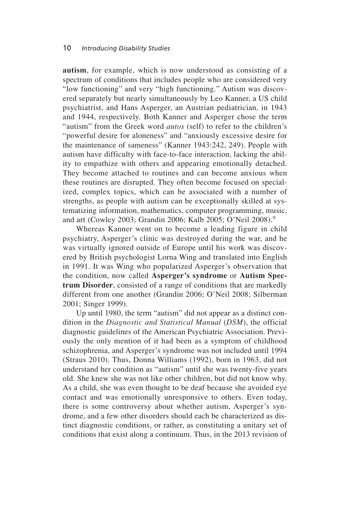**autism**, for example, which is now understood as consisting of a spectrum of conditions that includes people who are considered very "low functioning" and very "high functioning." Autism was discovered separately but nearly simultaneously by Leo Kanner, a US child psychiatrist, and Hans Asperger, an Austrian pediatrician, in 1943 and 1944, respectively. Both Kanner and Asperger chose the term "autism" from the Greek word *autos* (self) to refer to the children's "powerful desire for aloneness" and "anxiously excessive desire for the maintenance of sameness" (Kanner 1943:242, 249). People with autism have difficulty with face-to-face interaction, lacking the ability to empathize with others and appearing emotionally detached. They become attached to routines and can become anxious when these routines are disrupted. They often become focused on specialized, complex topics, which can be associated with a number of strengths, as people with autism can be exceptionally skilled at systematizing information, mathematics, computer programming, music, and art (Cowley 2003; Grandin 2006; Kalb 2005; O'Neil 2008). 9

Whereas Kanner went on to become a leading figure in child psychiatry, Asperger's clinic was destroyed during the war, and he was virtually ignored outside of Europe until his work was discovered by British psychologist Lorna Wing and translated into English in 1991. It was Wing who popularized Asperger's observation that the condition, now called **Asperger's syndrome** or **Autism Spectrum Disorder**, consisted of a range of conditions that are markedly different from one another (Grandin 2006; O'Neil 2008; Silberman 2001; Singer 1999).

Up until 1980, the term "autism" did not appear as a distinct condition in the *Diagnostic and Statistical Manual* (*DSM*), the official diagnostic guidelines of the American Psychiatric Association. Previously the only mention of it had been as a symptom of childhood schizophrenia, and Asperger's syndrome was not included until 1994 (Straus 2010). Thus, Donna Williams (1992), born in 1963, did not understand her condition as "autism" until she was twenty-five years old. She knew she was not like other children, but did not know why. As a child, she was even thought to be deaf because she avoided eye contact and was emotionally unresponsive to others. Even today, there is some controversy about whether autism, Asperger's syndrome, and a few other disorders should each be characterized as distinct diagnostic conditions, or rather, as constituting a unitary set of conditions that exist along a continuum. Thus, in the 2013 revision of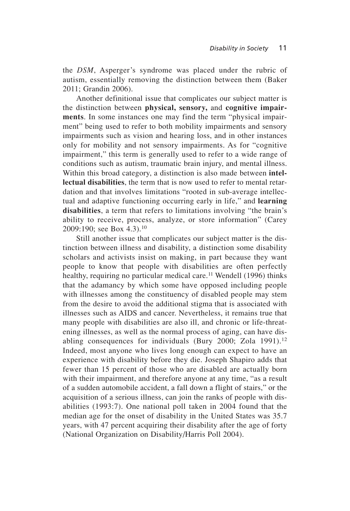the *DSM*, Asperger's syndrome was placed under the rubric of autism, essentially removing the distinction between them (Baker 2011; Grandin 2006).

Another definitional issue that complicates our subject matter is the distinction between **physical, sensory,** and **cognitive impairments**. In some instances one may find the term "physical impairment" being used to refer to both mobility impairments and sensory impairments such as vision and hearing loss, and in other instances only for mobility and not sensory impairments. As for "cognitive impairment," this term is generally used to refer to a wide range of conditions such as autism, traumatic brain injury, and mental illness. Within this broad category, a distinction is also made between **intellectual disabilities**, the term that is now used to refer to mental retardation and that involves limitations "rooted in sub-average intellectual and adaptive functioning occurring early in life," and **learning disabilities**, a term that refers to limitations involving "the brain's ability to receive, process, analyze, or store information" (Carey 2009:190; see Box 4.3). 10

Still another issue that complicates our subject matter is the distinction between illness and disability, a distinction some disability scholars and activists insist on making, in part because they want people to know that people with disabilities are often perfectly healthy, requiring no particular medical care.<sup>11</sup> Wendell (1996) thinks that the adamancy by which some have opposed including people with illnesses among the constituency of disabled people may stem from the desire to avoid the additional stigma that is associated with illnesses such as AIDS and cancer. Nevertheless, it remains true that many people with disabilities are also ill, and chronic or life-threatening illnesses, as well as the normal process of aging, can have disabling consequences for individuals (Bury 2000; Zola 1991).<sup>12</sup> Indeed, most anyone who lives long enough can expect to have an experience with disability before they die. Joseph Shapiro adds that fewer than 15 percent of those who are disabled are actually born with their impairment, and therefore anyone at any time, "as a result of a sudden automobile accident, a fall down a flight of stairs," or the acquisition of a serious illness, can join the ranks of people with disabilities (1993:7). One national poll taken in 2004 found that the median age for the onset of disability in the United States was 35.7 years, with 47 percent acquiring their disability after the age of forty (National Organization on Disability/Harris Poll 2004).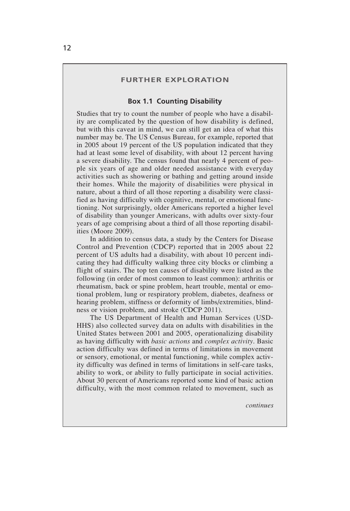#### **FURTHER EXPLORATION**

#### **Box 1.1 Counting Disability**

Studies that try to count the number of people who have a disability are complicated by the question of how disability is defined, but with this caveat in mind, we can still get an idea of what this number may be. The US Census Bureau, for example, reported that in 2005 about 19 percent of the US population indicated that they had at least some level of disability, with about 12 percent having a severe disability. The census found that nearly 4 percent of people six years of age and older needed assistance with everyday activities such as showering or bathing and getting around inside their homes. While the majority of disabilities were physical in nature, about a third of all those reporting a disability were classified as having difficulty with cognitive, mental, or emotional functioning. Not surprisingly, older Americans reported a higher level of disability than younger Americans, with adults over sixty-four years of age comprising about a third of all those reporting disabilities (Moore 2009).

In addition to census data, a study by the Centers for Disease Control and Prevention (CDCP) reported that in 2005 about 22 percent of US adults had a disability, with about 10 percent indicating they had difficulty walking three city blocks or climbing a flight of stairs. The top ten causes of disability were listed as the following (in order of most common to least common): arthritis or rheumatism, back or spine problem, heart trouble, mental or emotional problem, lung or respiratory problem, diabetes, deafness or hearing problem, stiffness or deformity of limbs/extremities, blindness or vision problem, and stroke (CDCP 2011).

The US Department of Health and Human Services (USD-HHS) also collected survey data on adults with disabilities in the United States between 2001 and 2005, operationalizing disability as having difficulty with *basic actions* and *complex activity*. Basic action difficulty was defined in terms of limitations in movement or sensory, emotional, or mental functioning, while complex activity difficulty was defined in terms of limitations in self-care tasks, ability to work, or ability to fully participate in social activities. About 30 percent of Americans reported some kind of basic action difficulty, with the most common related to movement, such as

*continues*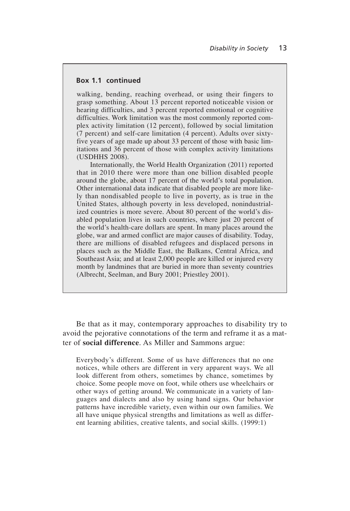#### **Box 1.1 continued**

walking, bending, reaching overhead, or using their fingers to grasp something. About 13 percent reported noticeable vision or hearing difficulties, and 3 percent reported emotional or cognitive difficulties. Work limitation was the most commonly reported complex activity limitation (12 percent), followed by social limitation (7 percent) and self-care limitation (4 percent). Adults over sixtyfive years of age made up about 33 percent of those with basic limitations and 36 percent of those with complex activity limitations (USDHHS 2008).

Internationally, the World Health Organization (2011) reported that in 2010 there were more than one billion disabled people around the globe, about 17 percent of the world's total population. Other international data indicate that disabled people are more likely than nondisabled people to live in poverty, as is true in the United States, although poverty in less developed, nonindustrialized countries is more severe. About 80 percent of the world's disabled population lives in such countries, where just 20 percent of the world's health-care dollars are spent. In many places around the globe, war and armed conflict are major causes of disability. Today, there are millions of disabled refugees and displaced persons in places such as the Middle East, the Balkans, Central Africa, and Southeast Asia; and at least 2,000 people are killed or injured every month by landmines that are buried in more than seventy countries (Albrecht, Seelman, and Bury 2001; Priestley 2001).

Be that as it may, contemporary approaches to disability try to avoid the pejorative connotations of the term and reframe it as a matter of **social difference**. As Miller and Sammons argue:

Everybody's different. Some of us have differences that no one notices, while others are different in very apparent ways. We all look different from others, sometimes by chance, sometimes by choice. Some people move on foot, while others use wheelchairs or other ways of getting around. We communicate in a variety of languages and dialects and also by using hand signs. Our behavior patterns have incredible variety, even within our own families. We all have unique physical strengths and limitations as well as different learning abilities, creative talents, and social skills. (1999:1)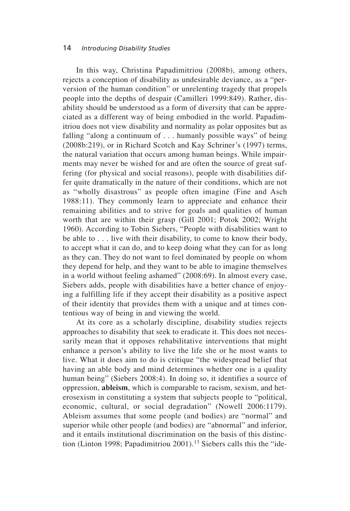In this way, Christina Papadimitriou (2008b), among others, rejects a conception of disability as undesirable deviance, as a "perversion of the human condition" or unrelenting tragedy that propels people into the depths of despair (Camilleri 1999:849). Rather, disability should be understood as a form of diversity that can be appreciated as a different way of being embodied in the world. Papadimitriou does not view disability and normality as polar opposites but as falling "along a continuum of . . . humanly possible ways" of being (2008b:219), or in Richard Scotch and Kay Schriner's (1997) terms, the natural variation that occurs among human beings. While impairments may never be wished for and are often the source of great suffering (for physical and social reasons), people with disabilities differ quite dramatically in the nature of their conditions, which are not as "wholly disastrous" as people often imagine (Fine and Asch 1988:11). They commonly learn to appreciate and enhance their remaining abilities and to strive for goals and qualities of human worth that are within their grasp (Gill 2001; Potok 2002; Wright 1960). According to Tobin Siebers, "People with disabilities want to be able to . . . live with their disability, to come to know their body, to accept what it can do, and to keep doing what they can for as long as they can. They do not want to feel dominated by people on whom they depend for help, and they want to be able to imagine themselves in a world without feeling ashamed" (2008:69). In almost every case, Siebers adds, people with disabilities have a better chance of enjoying a fulfilling life if they accept their disability as a positive aspect of their identity that provides them with a unique and at times contentious way of being in and viewing the world.

At its core as a scholarly discipline, disability studies rejects approaches to disability that seek to eradicate it. This does not necessarily mean that it opposes rehabilitative interventions that might enhance a person's ability to live the life she or he most wants to live. What it does aim to do is critique "the widespread belief that having an able body and mind determines whether one is a quality human being" (Siebers 2008:4). In doing so, it identifies a source of oppression, **ableism**, which is comparable to racism, sexism, and heterosexism in constituting a system that subjects people to "political, economic, cultural, or social degradation" (Nowell 2006:1179). Ableism assumes that some people (and bodies) are "normal" and superior while other people (and bodies) are "abnormal" and inferior, and it entails institutional discrimination on the basis of this distinction (Linton 1998; Papadimitriou 2001). <sup>13</sup> Siebers calls this the "ide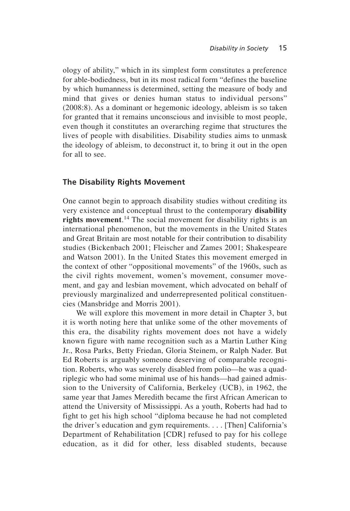ology of ability," which in its simplest form constitutes a preference for able-bodiedness, but in its most radical form "defines the baseline by which humanness is determined, setting the measure of body and mind that gives or denies human status to individual persons" (2008:8). As a dominant or hegemonic ideology, ableism is so taken for granted that it remains unconscious and invisible to most people, even though it constitutes an overarching regime that structures the lives of people with disabilities. Disability studies aims to unmask the ideology of ableism, to deconstruct it, to bring it out in the open for all to see.

### **The Disability Rights Movement**

One cannot begin to approach disability studies without crediting its very existence and conceptual thrust to the contemporary **disability rights movement**. <sup>14</sup> The social movement for disability rights is an international phenomenon, but the movements in the United States and Great Britain are most notable for their contribution to disability studies (Bickenbach 2001; Fleischer and Zames 2001; Shakespeare and Watson 2001). In the United States this movement emerged in the context of other "oppositional movements" of the 1960s, such as the civil rights movement, women's movement, consumer movement, and gay and lesbian movement, which advocated on behalf of previously marginalized and underrepresented political constituencies (Mansbridge and Morris 2001).

We will explore this movement in more detail in Chapter 3, but it is worth noting here that unlike some of the other movements of this era, the disability rights movement does not have a widely known figure with name recognition such as a Martin Luther King Jr., Rosa Parks, Betty Friedan, Gloria Steinem, or Ralph Nader. But Ed Roberts is arguably someone deserving of comparable recognition. Roberts, who was severely disabled from polio—he was a quadriplegic who had some minimal use of his hands—had gained admission to the University of California, Berkeley (UCB), in 1962, the same year that James Meredith became the first African American to attend the University of Mississippi. As a youth, Roberts had had to fight to get his high school "diploma because he had not completed the driver's education and gym requirements. . . . [Then] California's Department of Rehabilitation [CDR] refused to pay for his college education, as it did for other, less disabled students, because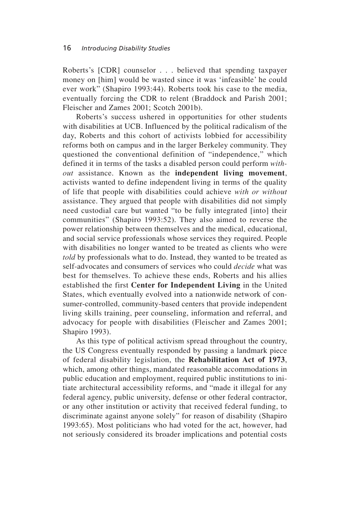Roberts's [CDR] counselor . . . believed that spending taxpayer money on [him] would be wasted since it was 'infeasible' he could ever work" (Shapiro 1993:44). Roberts took his case to the media, eventually forcing the CDR to relent (Braddock and Parish 2001; Fleischer and Zames 2001; Scotch 2001b).

Roberts's success ushered in opportunities for other students with disabilities at UCB. Influenced by the political radicalism of the day, Roberts and this cohort of activists lobbied for accessibility reforms both on campus and in the larger Berkeley community. They questioned the conventional definition of "independence," which defined it in terms of the tasks a disabled person could perform *without* assistance. Known as the **independent living movement**, activists wanted to define independent living in terms of the quality of life that people with disabilities could achieve *with or without* assistance. They argued that people with disabilities did not simply need custodial care but wanted "to be fully integrated [into] their communities" (Shapiro 1993:52). They also aimed to reverse the power relationship between themselves and the medical, educational, and social service professionals whose services they required. People with disabilities no longer wanted to be treated as clients who were *told* by professionals what to do. Instead, they wanted to be treated as self-advocates and consumers of services who could *decide* what was best for themselves. To achieve these ends, Roberts and his allies established the first **Center for Independent Living** in the United States, which eventually evolved into a nationwide network of consumer-controlled, community-based centers that provide independent living skills training, peer counseling, information and referral, and advocacy for people with disabilities (Fleischer and Zames 2001; Shapiro 1993).

As this type of political activism spread throughout the country, the US Congress eventually responded by passing a landmark piece of federal disability legislation, the **Rehabilitation Act of 1973**, which, among other things, mandated reasonable accommodations in public education and employment, required public institutions to initiate architectural accessibility reforms, and "made it illegal for any federal agency, public university, defense or other federal contractor, or any other institution or activity that received federal funding, to discriminate against anyone solely" for reason of disability (Shapiro 1993:65). Most politicians who had voted for the act, however, had not seriously considered its broader implications and potential costs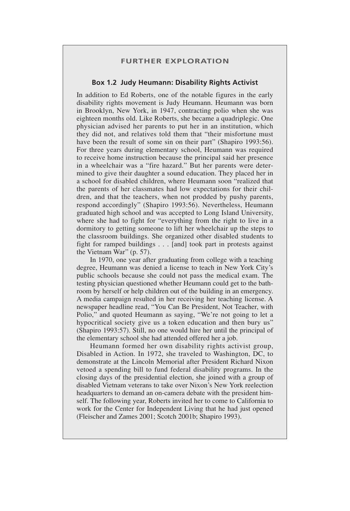#### **FURTHER EXPLORATION**

#### **Box 1.2 Judy Heumann: Disability Rights Activist**

In addition to Ed Roberts, one of the notable figures in the early disability rights movement is Judy Heumann. Heumann was born in Brooklyn, New York, in 1947, contracting polio when she was eighteen months old. Like Roberts, she became a quadriplegic. One physician advised her parents to put her in an institution, which they did not, and relatives told them that "their misfortune must have been the result of some sin on their part" (Shapiro 1993:56). For three years during elementary school, Heumann was required to receive home instruction because the principal said her presence in a wheelchair was a "fire hazard." But her parents were determined to give their daughter a sound education. They placed her in a school for disabled children, where Heumann soon "realized that the parents of her classmates had low expectations for their children, and that the teachers, when not prodded by pushy parents, respond accordingly" (Shapiro 1993:56). Nevertheless, Heumann graduated high school and was accepted to Long Island University, where she had to fight for "everything from the right to live in a dormitory to getting someone to lift her wheelchair up the steps to the classroom buildings. She organized other disabled students to fight for ramped buildings . . . [and] took part in protests against the Vietnam War" (p. 57).

In 1970, one year after graduating from college with a teaching degree, Heumann was denied a license to teach in New York City's public schools because she could not pass the medical exam. The testing physician questioned whether Heumann could get to the bathroom by herself or help children out of the building in an emergency. A media campaign resulted in her receiving her teaching license. A newspaper headline read, "You Can Be President, Not Teacher, with Polio," and quoted Heumann as saying, "We're not going to let a hypocritical society give us a token education and then bury us" (Shapiro 1993:57). Still, no one would hire her until the principal of the elementary school she had attended offered her a job.

Heumann formed her own disability rights activist group, Disabled in Action. In 1972, she traveled to Washington, DC, to demonstrate at the Lincoln Memorial after President Richard Nixon vetoed a spending bill to fund federal disability programs. In the closing days of the presidential election, she joined with a group of disabled Vietnam veterans to take over Nixon's New York reelection headquarters to demand an on-camera debate with the president himself. The following year, Roberts invited her to come to California to work for the Center for Independent Living that he had just opened (Fleischer and Zames 2001; Scotch 2001b; Shapiro 1993).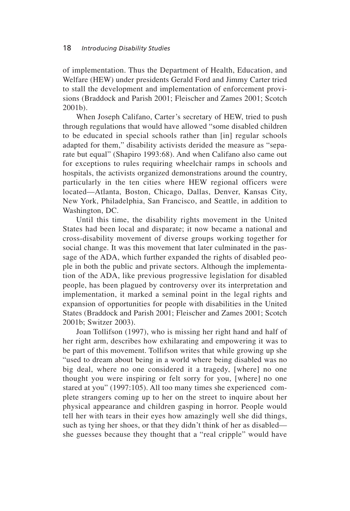of implementation. Thus the Department of Health, Education, and Welfare (HEW) under presidents Gerald Ford and Jimmy Carter tried to stall the development and implementation of enforcement provisions (Braddock and Parish 2001; Fleischer and Zames 2001; Scotch 2001b).

When Joseph Califano, Carter's secretary of HEW, tried to push through regulations that would have allowed "some disabled children to be educated in special schools rather than [in] regular schools adapted for them," disability activists derided the measure as "separate but equal" (Shapiro 1993:68). And when Califano also came out for exceptions to rules requiring wheelchair ramps in schools and hospitals, the activists organized demonstrations around the country, particularly in the ten cities where HEW regional officers were located—Atlanta, Boston, Chicago, Dallas, Denver, Kansas City, New York, Philadelphia, San Francisco, and Seattle, in addition to Washington, DC.

Until this time, the disability rights movement in the United States had been local and disparate; it now became a national and cross-disability movement of diverse groups working together for social change. It was this movement that later culminated in the passage of the ADA, which further expanded the rights of disabled people in both the public and private sectors. Although the implementation of the ADA, like previous progressive legislation for disabled people, has been plagued by controversy over its interpretation and implementation, it marked a seminal point in the legal rights and expansion of opportunities for people with disabilities in the United States (Braddock and Parish 2001; Fleischer and Zames 2001; Scotch 2001b; Switzer 2003).

Joan Tollifson (1997), who is missing her right hand and half of her right arm, describes how exhilarating and empowering it was to be part of this movement. Tollifson writes that while growing up she "used to dream about being in a world where being disabled was no big deal, where no one considered it a tragedy, [where] no one thought you were inspiring or felt sorry for you, [where] no one stared at you" (1997:105). All too many times she experienced complete strangers coming up to her on the street to inquire about her physical appearance and children gasping in horror. People would tell her with tears in their eyes how amazingly well she did things, such as tying her shoes, or that they didn't think of her as disabled she guesses because they thought that a "real cripple" would have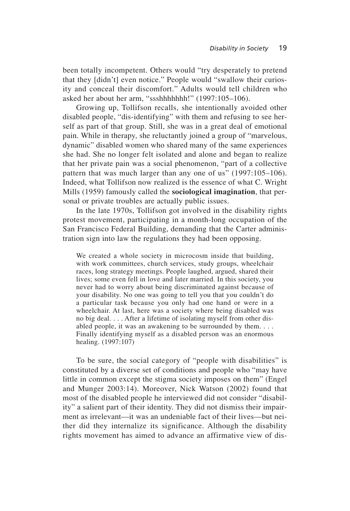been totally incompetent. Others would "try desperately to pretend that they [didn't] even notice." People would "swallow their curiosity and conceal their discomfort." Adults would tell children who asked her about her arm, "ssshhhhhhh!" (1997:105–106).

Growing up, Tollifson recalls, she intentionally avoided other disabled people, "dis-identifying" with them and refusing to see herself as part of that group. Still, she was in a great deal of emotional pain. While in therapy, she reluctantly joined a group of "marvelous, dynamic" disabled women who shared many of the same experiences she had. She no longer felt isolated and alone and began to realize that her private pain was a social phenomenon, "part of a collective pattern that was much larger than any one of us" (1997:105–106). Indeed, what Tollifson now realized is the essence of what C. Wright Mills (1959) famously called the **sociological imagination**, that personal or private troubles are actually public issues.

In the late 1970s, Tollifson got involved in the disability rights protest movement, participating in a month-long occupation of the San Francisco Federal Building, demanding that the Carter administration sign into law the regulations they had been opposing.

We created a whole society in microcosm inside that building, with work committees, church services, study groups, wheelchair races, long strategy meetings. People laughed, argued, shared their lives; some even fell in love and later married. In this society, you never had to worry about being discriminated against because of your disability. No one was going to tell you that you couldn't do a particular task because you only had one hand or were in a wheelchair. At last, here was a society where being disabled was no big deal. . . . After a lifetime of isolating myself from other disabled people, it was an awakening to be surrounded by them. . . . Finally identifying myself as a disabled person was an enormous healing. (1997:107)

To be sure, the social category of "people with disabilities" is constituted by a diverse set of conditions and people who "may have little in common except the stigma society imposes on them" (Engel and Munger 2003:14). Moreover, Nick Watson (2002) found that most of the disabled people he interviewed did not consider "disability" a salient part of their identity. They did not dismiss their impairment as irrelevant—it was an undeniable fact of their lives—but neither did they internalize its significance. Although the disability rights movement has aimed to advance an affirmative view of dis-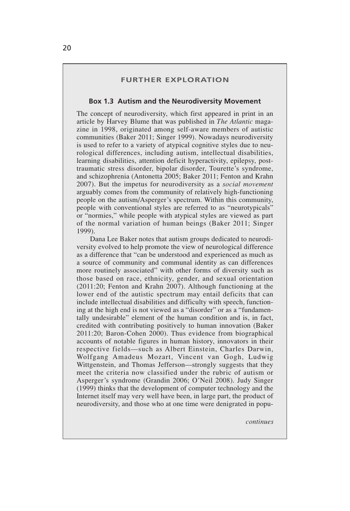#### **FURTHER EXPLORATION**

#### **Box 1.3 Autism and the Neurodiversity Movement**

The concept of neurodiversity, which first appeared in print in an article by Harvey Blume that was published in *The Atlantic* magazine in 1998, originated among self-aware members of autistic communities (Baker 2011; Singer 1999). Nowadays neurodiversity is used to refer to a variety of atypical cognitive styles due to neurological differences, including autism, intellectual disabilities, learning disabilities, attention deficit hyperactivity, epilepsy, posttraumatic stress disorder, bipolar disorder, Tourette's syndrome, and schizophrenia (Antonetta 2005; Baker 2011; Fenton and Krahn 2007). But the impetus for neurodiversity as a *social movement* arguably comes from the community of relatively high-functioning people on the autism/Asperger's spectrum. Within this community, people with conventional styles are referred to as "neurotypicals" or "normies," while people with atypical styles are viewed as part of the normal variation of human beings (Baker 2011; Singer 1999).

Dana Lee Baker notes that autism groups dedicated to neurodiversity evolved to help promote the view of neurological difference as a difference that "can be understood and experienced as much as a source of community and communal identity as can differences more routinely associated" with other forms of diversity such as those based on race, ethnicity, gender, and sexual orientation (2011:20; Fenton and Krahn 2007). Although functioning at the lower end of the autistic spectrum may entail deficits that can include intellectual disabilities and difficulty with speech, functioning at the high end is not viewed as a "disorder" or as a "fundamentally undesirable" element of the human condition and is, in fact, credited with contributing positively to human innovation (Baker 2011:20; Baron-Cohen 2000). Thus evidence from biographical accounts of notable figures in human history, innovators in their respective fields—such as Albert Einstein, Charles Darwin, Wolfgang Amadeus Mozart, Vincent van Gogh, Ludwig Wittgenstein, and Thomas Jefferson—strongly suggests that they meet the criteria now classified under the rubric of autism or Asperger's syndrome (Grandin 2006; O'Neil 2008). Judy Singer (1999) thinks that the development of computer technology and the Internet itself may very well have been, in large part, the product of neurodiversity, and those who at one time were denigrated in popu-

*continues*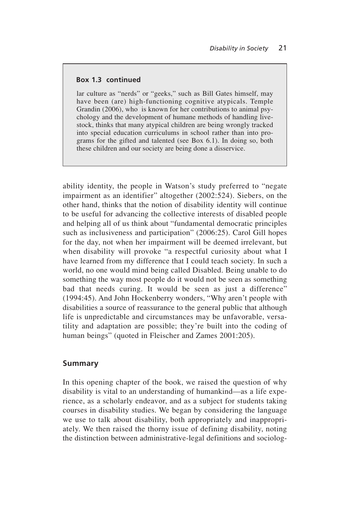#### **Box 1.3 continued**

lar culture as "nerds" or "geeks," such as Bill Gates himself, may have been (are) high-functioning cognitive atypicals. Temple Grandin (2006), who is known for her contributions to animal psychology and the development of humane methods of handling livestock, thinks that many atypical children are being wrongly tracked into special education curriculums in school rather than into programs for the gifted and talented (see Box 6.1). In doing so, both these children and our society are being done a disservice.

ability identity, the people in Watson's study preferred to "negate impairment as an identifier" altogether (2002:524). Siebers, on the other hand, thinks that the notion of disability identity will continue to be useful for advancing the collective interests of disabled people and helping all of us think about "fundamental democratic principles such as inclusiveness and participation" (2006:25). Carol Gill hopes for the day, not when her impairment will be deemed irrelevant, but when disability will provoke "a respectful curiosity about what I have learned from my difference that I could teach society. In such a world, no one would mind being called Disabled. Being unable to do something the way most people do it would not be seen as something bad that needs curing. It would be seen as just a difference" (1994:45). And John Hockenberry wonders, "Why aren't people with disabilities a source of reassurance to the general public that although life is unpredictable and circumstances may be unfavorable, versatility and adaptation are possible; they're built into the coding of human beings" (quoted in Fleischer and Zames 2001:205).

### **Summary**

In this opening chapter of the book, we raised the question of why disability is vital to an understanding of humankind—as a life experience, as a scholarly endeavor, and as a subject for students taking courses in disability studies. We began by considering the language we use to talk about disability, both appropriately and inappropriately. We then raised the thorny issue of defining disability, noting the distinction between administrative-legal definitions and sociolog-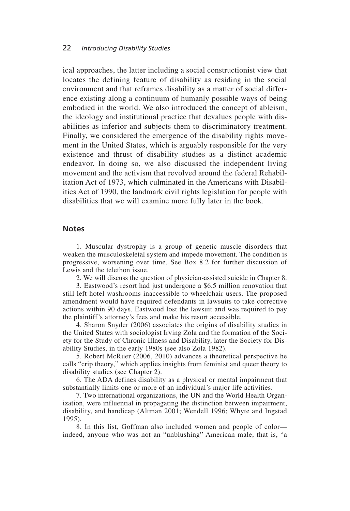ical approaches, the latter including a social constructionist view that locates the defining feature of disability as residing in the social environment and that reframes disability as a matter of social difference existing along a continuum of humanly possible ways of being embodied in the world. We also introduced the concept of ableism, the ideology and institutional practice that devalues people with disabilities as inferior and subjects them to discriminatory treatment. Finally, we considered the emergence of the disability rights movement in the United States, which is arguably responsible for the very existence and thrust of disability studies as a distinct academic endeavor. In doing so, we also discussed the independent living movement and the activism that revolved around the federal Rehabilitation Act of 1973, which culminated in the Americans with Disabilities Act of 1990, the landmark civil rights legislation for people with disabilities that we will examine more fully later in the book.

#### **Notes**

1. Muscular dystrophy is a group of genetic muscle disorders that weaken the musculoskeletal system and impede movement. The condition is progressive, worsening over time. See Box 8.2 for further discussion of Lewis and the telethon issue.

2. We will discuss the question of physician-assisted suicide in Chapter 8.

3. Eastwood's resort had just undergone a \$6.5 million renovation that still left hotel washrooms inaccessible to wheelchair users. The proposed amendment would have required defendants in lawsuits to take corrective actions within 90 days. Eastwood lost the lawsuit and was required to pay the plaintiff's attorney's fees and make his resort accessible.

4. Sharon Snyder (2006) associates the origins of disability studies in the United States with sociologist Irving Zola and the formation of the Society for the Study of Chronic Illness and Disability, later the Society for Disability Studies, in the early 1980s (see also Zola 1982).

5. Robert McRuer (2006, 2010) advances a theoretical perspective he calls "crip theory," which applies insights from feminist and queer theory to disability studies (see Chapter 2).

6. The ADA defines disability as a physical or mental impairment that substantially limits one or more of an individual's major life activities.

7. Two international organizations, the UN and the World Health Organization, were influential in propagating the distinction between impairment, disability, and handicap (Altman 2001; Wendell 1996; Whyte and Ingstad 1995).

8. In this list, Goffman also included women and people of color indeed, anyone who was not an "unblushing" American male, that is, "a